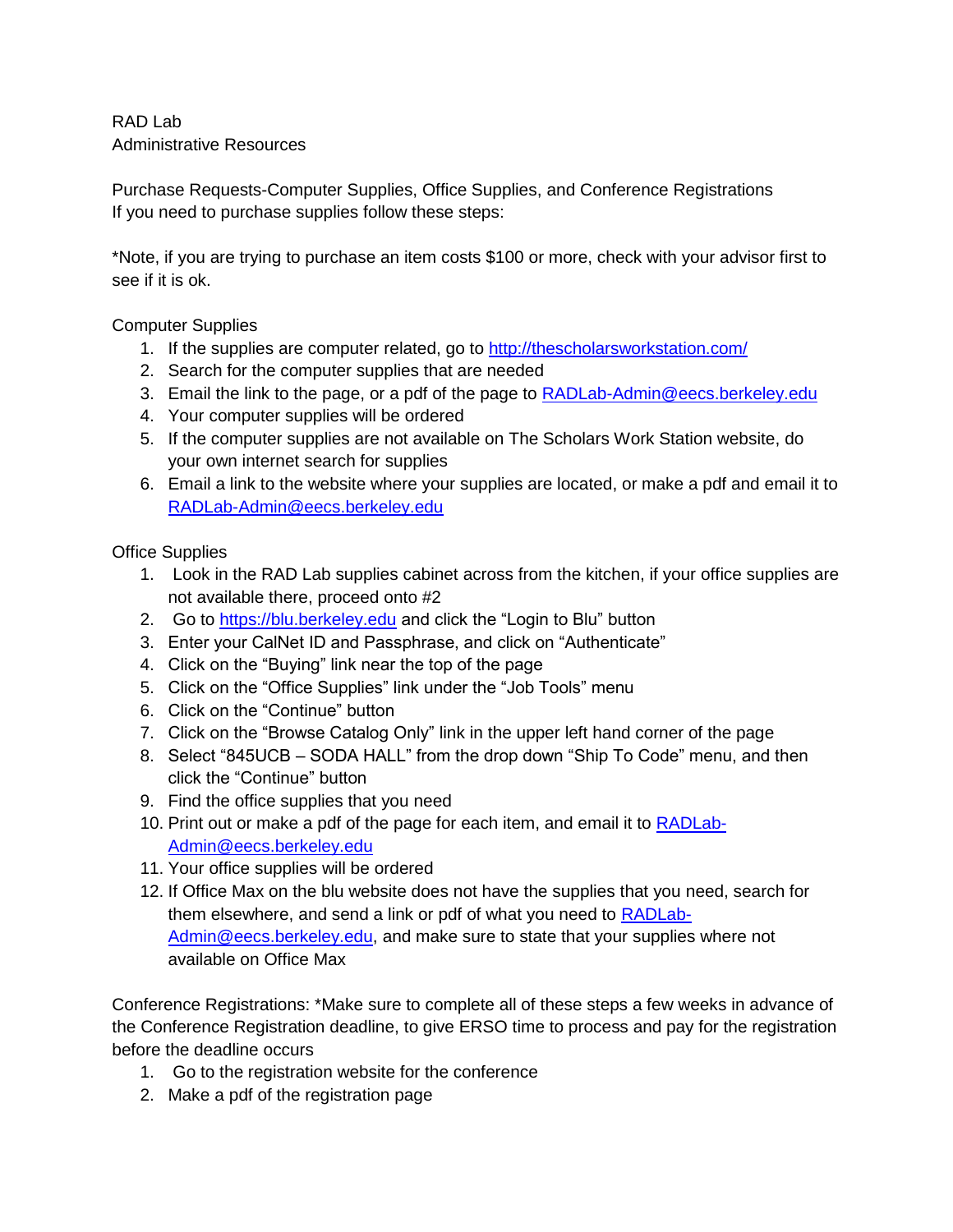## RAD Lab Administrative Resources

Purchase Requests-Computer Supplies, Office Supplies, and Conference Registrations If you need to purchase supplies follow these steps:

\*Note, if you are trying to purchase an item costs \$100 or more, check with your advisor first to see if it is ok.

Computer Supplies

- 1. If the supplies are computer related, go to<http://thescholarsworkstation.com/>
- 2. Search for the computer supplies that are needed
- 3. Email the link to the page, or a pdf of the page to [RADLab-Admin@eecs.berkeley.edu](mailto:RADLab-Admin@eecs.berkeley.edu)
- 4. Your computer supplies will be ordered
- 5. If the computer supplies are not available on The Scholars Work Station website, do your own internet search for supplies
- 6. Email a link to the website where your supplies are located, or make a pdf and email it to [RADLab-Admin@eecs.berkeley.edu](mailto:RADLab-Admin@eecs.berkeley.edu)

Office Supplies

- 1. Look in the RAD Lab supplies cabinet across from the kitchen, if your office supplies are not available there, proceed onto #2
- 2. Go to [https://blu.berkeley.edu](https://blu.berkeley.edu/) and click the "Login to Blu" button
- 3. Enter your CalNet ID and Passphrase, and click on "Authenticate"
- 4. Click on the "Buying" link near the top of the page
- 5. Click on the "Office Supplies" link under the "Job Tools" menu
- 6. Click on the "Continue" button
- 7. Click on the "Browse Catalog Only" link in the upper left hand corner of the page
- 8. Select "845UCB SODA HALL" from the drop down "Ship To Code" menu, and then click the "Continue" button
- 9. Find the office supplies that you need
- 10. Print out or make a pdf of the page for each item, and email it to [RADLab-](mailto:RADLab-Admin@eecs.berkeley.edu)[Admin@eecs.berkeley.edu](mailto:RADLab-Admin@eecs.berkeley.edu)
- 11. Your office supplies will be ordered
- 12. If Office Max on the blu website does not have the supplies that you need, search for them elsewhere, and send a link or pdf of what you need to [RADLab-](mailto:RADLab-Admin@eecs.berkeley.edu)[Admin@eecs.berkeley.edu,](mailto:RADLab-Admin@eecs.berkeley.edu) and make sure to state that your supplies where not available on Office Max

Conference Registrations: \*Make sure to complete all of these steps a few weeks in advance of the Conference Registration deadline, to give ERSO time to process and pay for the registration before the deadline occurs

- 1. Go to the registration website for the conference
- 2. Make a pdf of the registration page